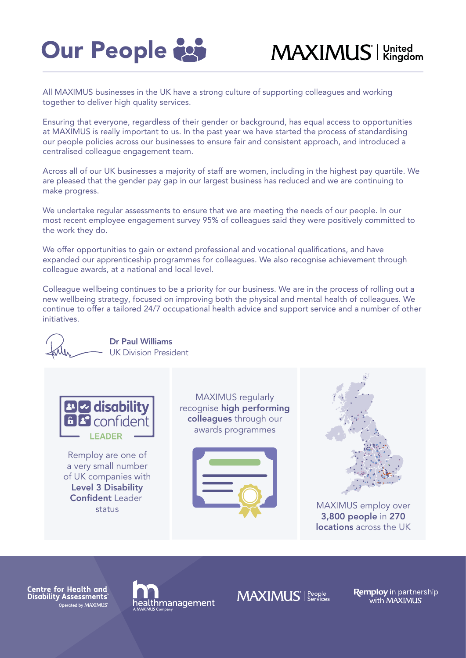

## MAXIMUS<sup>'</sup> Kingdom

All MAXIMUS businesses in the UK have a strong culture of supporting colleagues and working together to deliver high quality services.

Ensuring that everyone, regardless of their gender or background, has equal access to opportunities at MAXIMUS is really important to us. In the past year we have started the process of standardising our people policies across our businesses to ensure fair and consistent approach, and introduced a centralised colleague engagement team.

Across all of our UK businesses a majority of staff are women, including in the highest pay quartile. We are pleased that the gender pay gap in our largest business has reduced and we are continuing to make progress.

We undertake regular assessments to ensure that we are meeting the needs of our people. In our most recent employee engagement survey 95% of colleagues said they were positively committed to the work they do.

We offer opportunities to gain or extend professional and vocational qualifications, and have expanded our apprenticeship programmes for colleagues. We also recognise achievement through colleague awards, at a national and local level.

Colleague wellbeing continues to be a priority for our business. We are in the process of rolling out a new wellbeing strategy, focused on improving both the physical and mental health of colleagues. We continue to offer a tailored 24/7 occupational health advice and support service and a number of other initiatives.



Centre for Health and Disability Assessments Operated by MAXIMUS



**MAXIMUS** Services

**Remploy** in partnership<br>with MAXIMUS